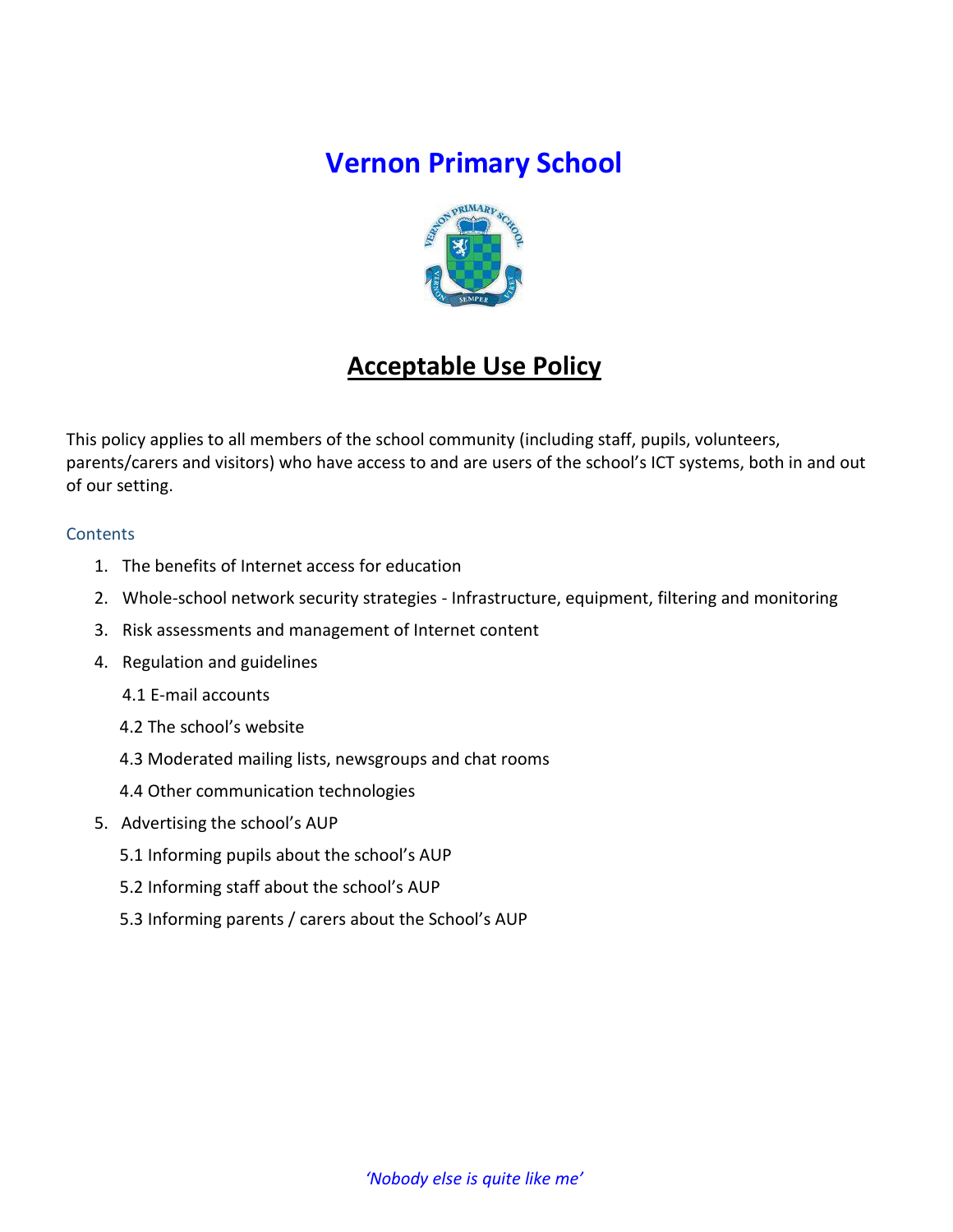# **Vernon Primary School**



# **Acceptable Use Policy**

This policy applies to all members of the school community (including staff, pupils, volunteers, parents/carers and visitors) who have access to and are users of the school's ICT systems, both in and out of our setting.

### **Contents**

- 1. The benefits of Internet access for education
- 2. Whole-school network security strategies Infrastructure, equipment, filtering and monitoring
- 3. Risk assessments and management of Internet content
- 4. Regulation and guidelines
	- 4.1 E-mail accounts
	- 4.2 The school's website
	- 4.3 Moderated mailing lists, newsgroups and chat rooms
	- 4.4 Other communication technologies
- 5. Advertising the school's AUP
	- 5.1 Informing pupils about the school's AUP
	- 5.2 Informing staff about the school's AUP
	- 5.3 Informing parents / carers about the School's AUP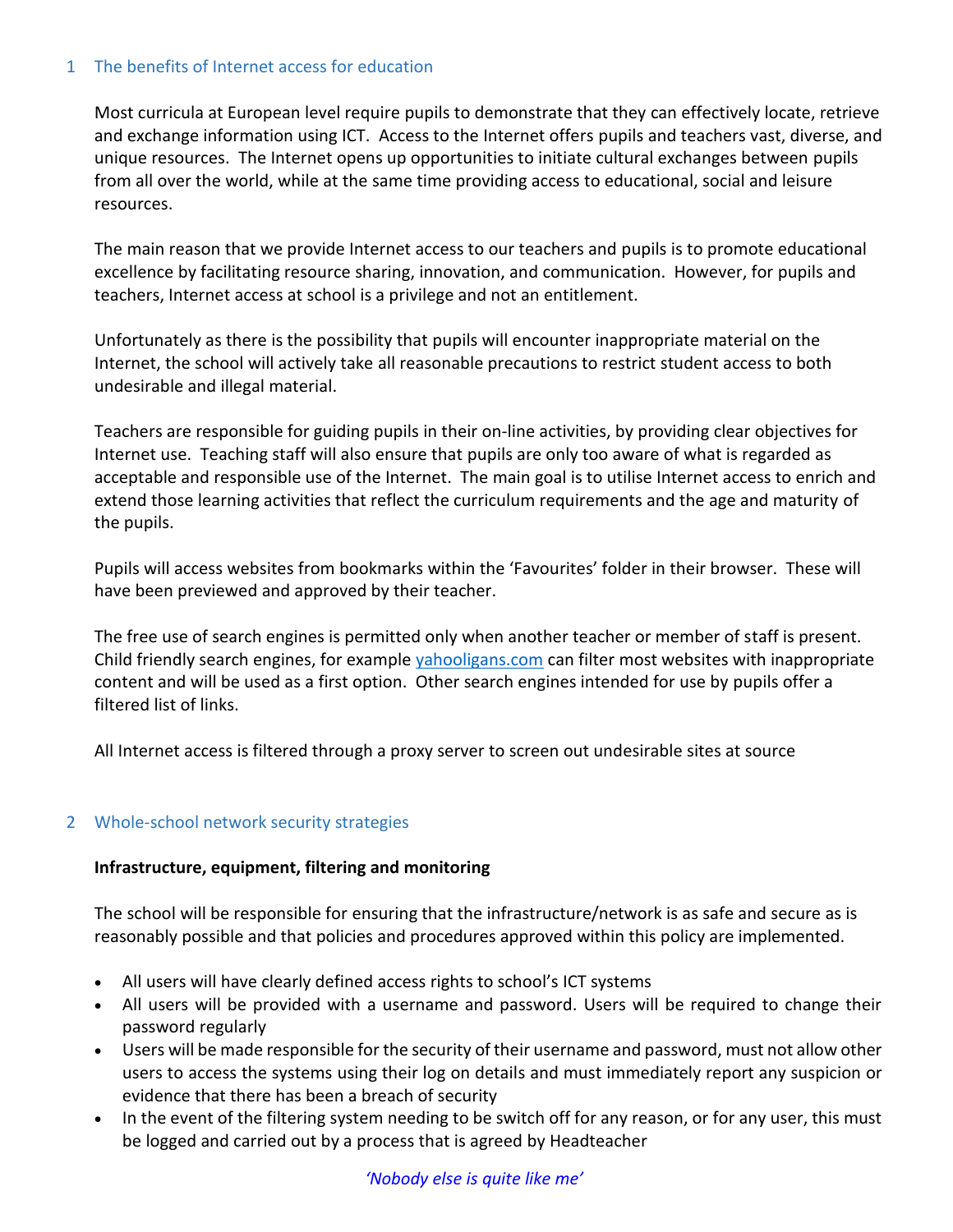### 1 The benefits of Internet access for education

Most curricula at European level require pupils to demonstrate that they can effectively locate, retrieve and exchange information using ICT. Access to the Internet offers pupils and teachers vast, diverse, and unique resources. The Internet opens up opportunities to initiate cultural exchanges between pupils from all over the world, while at the same time providing access to educational, social and leisure resources.

The main reason that we provide Internet access to our teachers and pupils is to promote educational excellence by facilitating resource sharing, innovation, and communication. However, for pupils and teachers, Internet access at school is a privilege and not an entitlement.

Unfortunately as there is the possibility that pupils will encounter inappropriate material on the Internet, the school will actively take all reasonable precautions to restrict student access to both undesirable and illegal material.

Teachers are responsible for guiding pupils in their on-line activities, by providing clear objectives for Internet use. Teaching staff will also ensure that pupils are only too aware of what is regarded as acceptable and responsible use of the Internet. The main goal is to utilise Internet access to enrich and extend those learning activities that reflect the curriculum requirements and the age and maturity of the pupils.

Pupils will access websites from bookmarks within the 'Favourites' folder in their browser. These will have been previewed and approved by their teacher.

The free use of search engines is permitted only when another teacher or member of staff is present. Child friendly search engines, for example [yahooligans.com](about:blank) can filter most websites with inappropriate content and will be used as a first option. Other search engines intended for use by pupils offer a filtered list of links.

All Internet access is filtered through a proxy server to screen out undesirable sites at source

# 2 Whole-school network security strategies

# **Infrastructure, equipment, filtering and monitoring**

The school will be responsible for ensuring that the infrastructure/network is as safe and secure as is reasonably possible and that policies and procedures approved within this policy are implemented.

- All users will have clearly defined access rights to school's ICT systems
- All users will be provided with a username and password. Users will be required to change their password regularly
- Users will be made responsible for the security of their username and password, must not allow other users to access the systems using their log on details and must immediately report any suspicion or evidence that there has been a breach of security
- In the event of the filtering system needing to be switch off for any reason, or for any user, this must be logged and carried out by a process that is agreed by Headteacher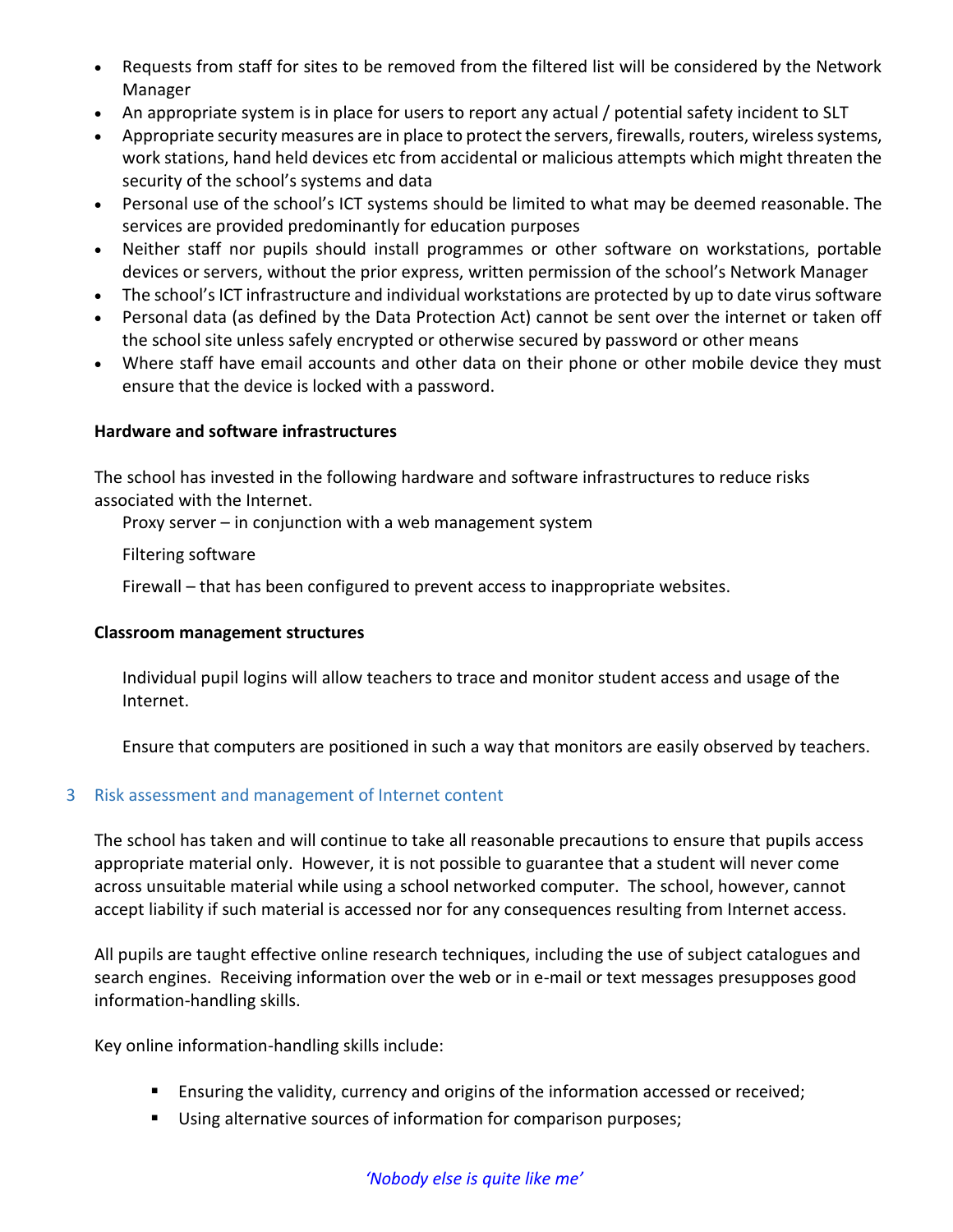- Requests from staff for sites to be removed from the filtered list will be considered by the Network Manager
- An appropriate system is in place for users to report any actual / potential safety incident to SLT
- Appropriate security measures are in place to protect the servers, firewalls, routers, wireless systems, work stations, hand held devices etc from accidental or malicious attempts which might threaten the security of the school's systems and data
- Personal use of the school's ICT systems should be limited to what may be deemed reasonable. The services are provided predominantly for education purposes
- Neither staff nor pupils should install programmes or other software on workstations, portable devices or servers, without the prior express, written permission of the school's Network Manager
- The school's ICT infrastructure and individual workstations are protected by up to date virus software
- Personal data (as defined by the Data Protection Act) cannot be sent over the internet or taken off the school site unless safely encrypted or otherwise secured by password or other means
- Where staff have email accounts and other data on their phone or other mobile device they must ensure that the device is locked with a password.

### **Hardware and software infrastructures**

The school has invested in the following hardware and software infrastructures to reduce risks associated with the Internet.

Proxy server – in conjunction with a web management system

Filtering software

Firewall – that has been configured to prevent access to inappropriate websites.

#### **Classroom management structures**

Individual pupil logins will allow teachers to trace and monitor student access and usage of the Internet.

Ensure that computers are positioned in such a way that monitors are easily observed by teachers.

# 3 Risk assessment and management of Internet content

The school has taken and will continue to take all reasonable precautions to ensure that pupils access appropriate material only. However, it is not possible to guarantee that a student will never come across unsuitable material while using a school networked computer. The school, however, cannot accept liability if such material is accessed nor for any consequences resulting from Internet access.

All pupils are taught effective online research techniques, including the use of subject catalogues and search engines. Receiving information over the web or in e-mail or text messages presupposes good information-handling skills.

Key online information-handling skills include:

- **E** Ensuring the validity, currency and origins of the information accessed or received;
- **Using alternative sources of information for comparison purposes;**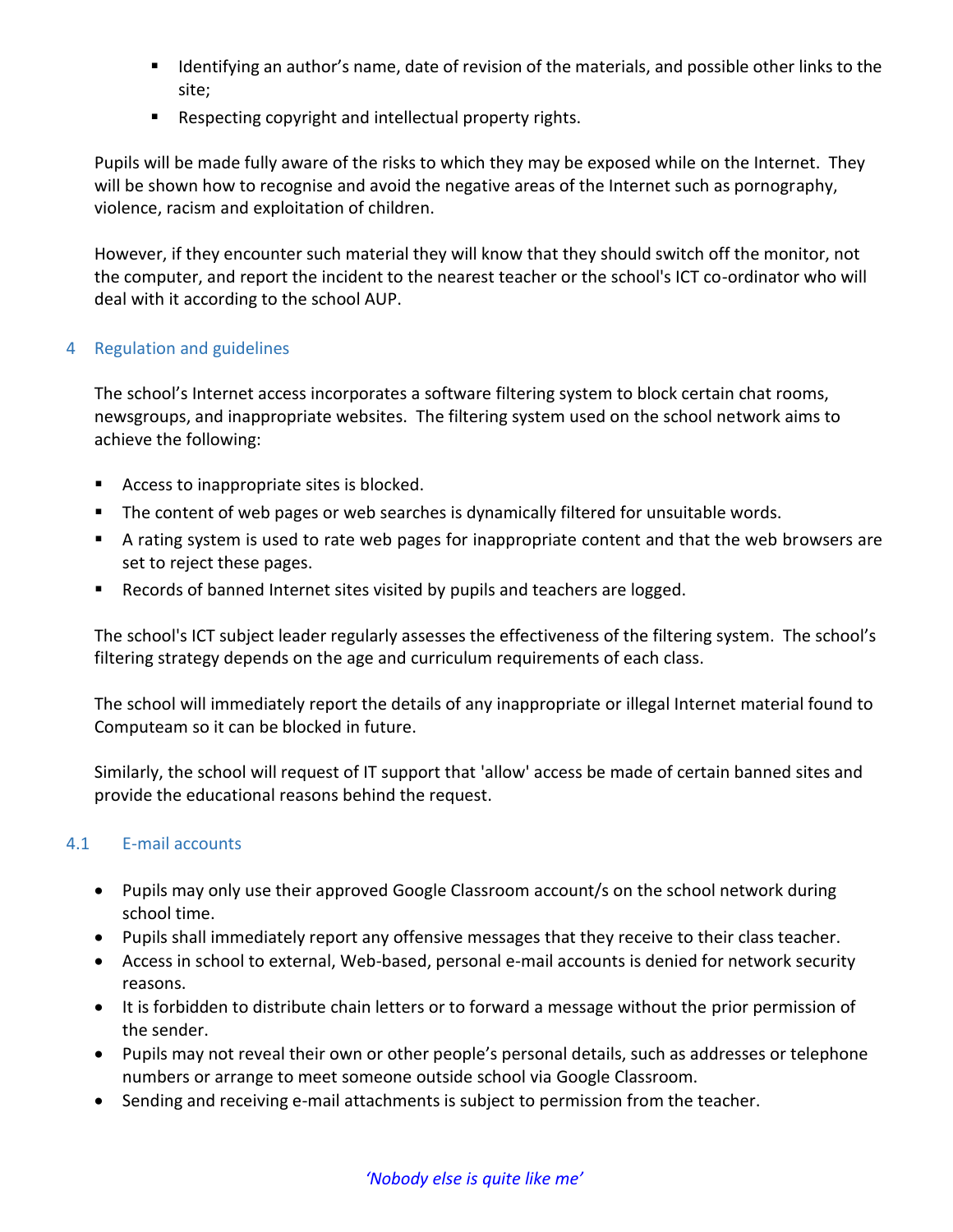- Identifying an author's name, date of revision of the materials, and possible other links to the site;
- Respecting copyright and intellectual property rights.

Pupils will be made fully aware of the risks to which they may be exposed while on the Internet. They will be shown how to recognise and avoid the negative areas of the Internet such as pornography, violence, racism and exploitation of children.

However, if they encounter such material they will know that they should switch off the monitor, not the computer, and report the incident to the nearest teacher or the school's ICT co-ordinator who will deal with it according to the school AUP.

### 4 Regulation and guidelines

The school's Internet access incorporates a software filtering system to block certain chat rooms, newsgroups, and inappropriate websites. The filtering system used on the school network aims to achieve the following:

- Access to inappropriate sites is blocked.
- The content of web pages or web searches is dynamically filtered for unsuitable words.
- A rating system is used to rate web pages for inappropriate content and that the web browsers are set to reject these pages.
- **EXE** Records of banned Internet sites visited by pupils and teachers are logged.

The school's ICT subject leader regularly assesses the effectiveness of the filtering system. The school's filtering strategy depends on the age and curriculum requirements of each class.

The school will immediately report the details of any inappropriate or illegal Internet material found to Computeam so it can be blocked in future.

Similarly, the school will request of IT support that 'allow' access be made of certain banned sites and provide the educational reasons behind the request.

# 4.1 E-mail accounts

- Pupils may only use their approved Google Classroom account/s on the school network during school time.
- Pupils shall immediately report any offensive messages that they receive to their class teacher.
- Access in school to external, Web-based, personal e-mail accounts is denied for network security reasons.
- It is forbidden to distribute chain letters or to forward a message without the prior permission of the sender.
- Pupils may not reveal their own or other people's personal details, such as addresses or telephone numbers or arrange to meet someone outside school via Google Classroom.
- Sending and receiving e-mail attachments is subject to permission from the teacher.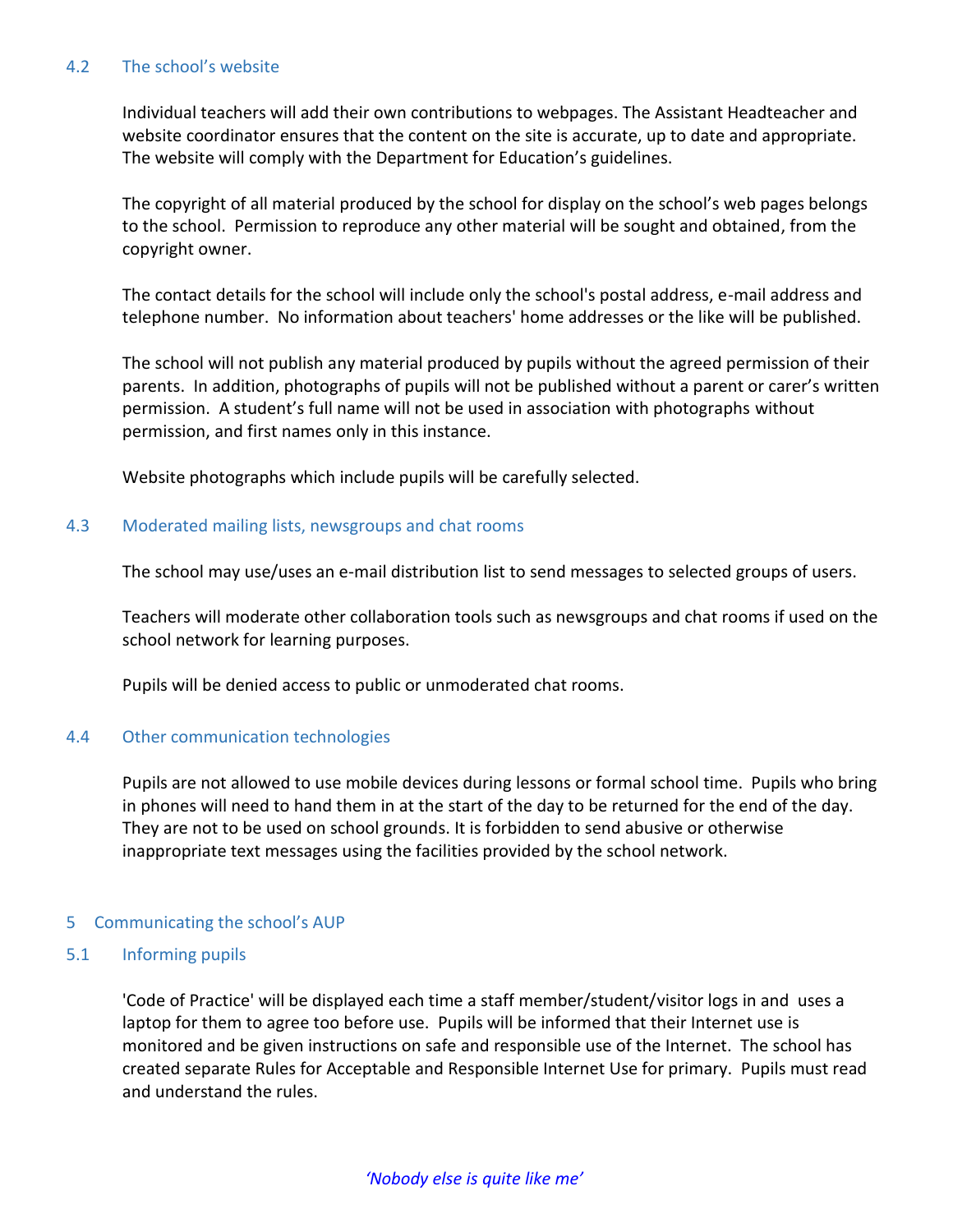#### 4.2 The school's website

Individual teachers will add their own contributions to webpages. The Assistant Headteacher and website coordinator ensures that the content on the site is accurate, up to date and appropriate. The website will comply with the Department for Education's guidelines.

The copyright of all material produced by the school for display on the school's web pages belongs to the school. Permission to reproduce any other material will be sought and obtained, from the copyright owner.

The contact details for the school will include only the school's postal address, e-mail address and telephone number. No information about teachers' home addresses or the like will be published.

The school will not publish any material produced by pupils without the agreed permission of their parents. In addition, photographs of pupils will not be published without a parent or carer's written permission. A student's full name will not be used in association with photographs without permission, and first names only in this instance.

Website photographs which include pupils will be carefully selected.

### 4.3 Moderated mailing lists, newsgroups and chat rooms

The school may use/uses an e-mail distribution list to send messages to selected groups of users.

Teachers will moderate other collaboration tools such as newsgroups and chat rooms if used on the school network for learning purposes.

Pupils will be denied access to public or unmoderated chat rooms.

# 4.4 Other communication technologies

Pupils are not allowed to use mobile devices during lessons or formal school time. Pupils who bring in phones will need to hand them in at the start of the day to be returned for the end of the day. They are not to be used on school grounds. It is forbidden to send abusive or otherwise inappropriate text messages using the facilities provided by the school network.

#### 5 Communicating the school's AUP

#### 5.1 Informing pupils

'Code of Practice' will be displayed each time a staff member/student/visitor logs in and uses a laptop for them to agree too before use. Pupils will be informed that their Internet use is monitored and be given instructions on safe and responsible use of the Internet. The school has created separate Rules for Acceptable and Responsible Internet Use for primary. Pupils must read and understand the rules.